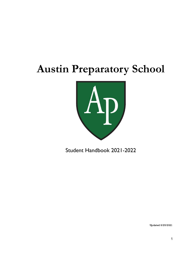# **Austin Preparatory School**



Student Handbook 2021-2022

Updated 8/25/2021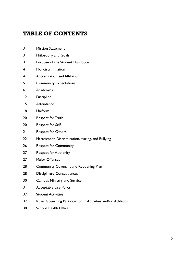## TABLE OF CONTENTS

- Mission Statement
- Philosophy and Goals
- Purpose of the Student Handbook
- Nondiscrimination
- Accreditation and Affiliation
- Community Expectations
- Academics
- Discipline
- Attendance
- Uniform
- Respect for Truth
- Respect for Self
- Respect for Others
- Harassment, Discrimination, Hazing, and Bullying
- Respect for Community
- Respect for Authority
- Major Offenses
- 28 Community Covenant and Reopening Plan
- 28 Disciplinary Consequences
- Campus Ministry and Service
- Acceptable Use Policy
- Student Activities
- Rules Governing Participation in Activities and/or Athletics
- School Health Office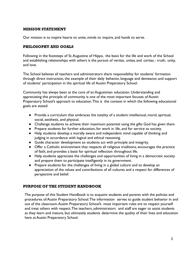#### MISSION STATEMENT

Our mission is to inspire hearts to unite, minds to inquire, and hands to serve.

## PHILOSOPHY AND GOALS

Following in the footsteps of St.Augustine of Hippo, the basis for the life and work of the School and establishing relationships with others is the pursuit of veritas, unitas, and caritas, - truth, unity, and love.

The School believes all teachers and administrators share responsibility for students' formation through direct instruction, the example of their daily behavior, language and demeanor, and support of students' participation in the spiritual life of Austin Preparatory School.

Community has always been at the core of an Augustinian education. Understanding and appreciating this principle of community is one of the most important focuses of Austin Preparatory School's approach to education.This is the context in which the following educational goals are stated:

- Provide a curriculum that embraces the totality of a student: intellectual, moral, spiritual, social, aesthetic, and physical.
- Challenge students to achieve their maximum potential using the gifts God has given them.
- Prepare students for further education, for work in life, and for service to society.
- Help students develop a morally aware and independent mind capable of thinking and judging in accordance with logical and ethical reasoning.
- Guide character development so students act with principle and integrity.
- Offer a Catholic environment that respects all religious traditions, encourages the practice of faith, and provides a basis for spiritual reflection throughout life.
- Help students appreciate the challenges and opportunities of living in a democratic society and prepare them to participate intelligently in its government.
- Prepare students for the challenges of living in a global culture and to develop an appreciation of the values and contributions of all cultures and a respect for differences of perspective and belief.

## PURPOSE OF THE STUDENT HANDBOOK

The purpose of this Student Handbook is to acquaint students and parents with the policies and procedures of Austin Preparatory School.The information serves to guide student behavior in and out of the classroom.Austin Preparatory School's most important rules are to respect yourself and treat others with respect.The teachers, administrators and staff are eager to assist students as they learn and mature, but ultimately students determine the quality of their lives and education here at Austin Preparatory School.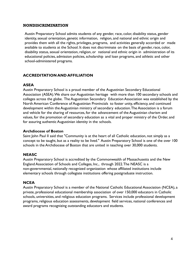#### NONDISCRIMINATION

Austin Preparatory School admits students of any gender, race, color, disability status, gender identity, sexual orientation, genetic information, religion, and national and ethnic origin and provides them with all the rights, privileges, programs, and activities generally accorded or made available to students at the School. It does not discriminate on the basis of gender, race, color, disability status, sexual orientation, religion, or national and ethnic origin in administration of its educational policies, admission policies, scholarship and loan programs, and athletic and other school-administered programs.

## **ACCREDITATION AND AFFILIATION**

## **ASEA**

Austin Preparatory School is a proud member of the Augustinian Secondary Educational Association (ASEA).We share our Augustinian heritage with more than 100 secondary schools and colleges across the globe. The Augustinian Secondary Education Association was established by the North American Conference of Augustinian Provincials to foster unity, efficiency, and continued development within the Augustinian ministry of secondary education.The Association is a forum and vehicle for the sharing of resources, for the advancement of the Augustinian charism and values, for the promotion of secondary education as a vital and proper ministry of the Order, and for assuring authentic Augustinian identity in the schools.

## **Archdiocese of Boston**

Saint John Paul II said that "Community is at the heart of all Catholic education, not simply as a concept to be taught, but as a reality to be lived." Austin Preparatory School is one of the over 100 schools in the Archdiocese of Boston that are united in teaching over 30,000 students.

## **NEASC**

Austin Preparatory School is accredited by the Commonwealth of Massachusetts and the New England Association of Schools and Colleges, Inc., through 2022.The NEASC is a non-governmental, nationally recognized organization whose affiliated institutions include elementary schools through collegiate institutions offering postgraduate instruction.

## **NCEA**

Austin Preparatory School is a member of the National Catholic Educational Association (NCEA), a private, professional educational membership association of over 150,000 educators in Catholic schools, universities, and religious education programs. Services include professional development programs, religious education assessments, development field services, national conferences and award programs recognizing outstanding educators and students.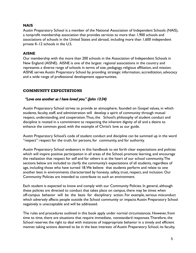## **NAIS**

Austin Preparatory School is a member of the National Association of Independent Schools (NAIS), a nonprofit membership association that provides services to more than 1,900 schools and associations of schools in the United States and abroad, including more than 1,600 independent private K-12 schools in the U.S.

## **AISNE**

Our membership with the more than 200 schools in the Association of Independent Schools in New England (AISNE). AISNE is one of the largest regional associations in the country and represents a diverse range of schools in terms of size, pedagogy, religious affiliation, and mission. AISNE serves Austin Preparatory School by providing strategic information, accreditation, advocacy and a wide range of professional development opportunities.

## COMMUNITY EXPECTATIONS

## "Love one another as I have loved you." (John 13:34)

Austin Preparatory School strives to provide an atmosphere, founded on Gospel values, in which students, faculty, staff, and administration will develop a spirit of community through mutual respect, understanding, and cooperation.Thus, the School's philosophy of student conduct and discipline is rooted in a commitment to respecting the inherent dignity of all and a desire to enhance the common good, with the example of Christ's love as our guide.

Austin Preparatory School's code of student conduct and discipline can be summed up in the word "respect": respect for the truth, for persons, for community, and for authority.

Austin Preparatory School endeavors in this handbook to set forth clear expectations and policies which will inspire positive participation in all areas of the School, promote learning, and encourage the realization that respect for self and for others is at the heart of our school community.The sections below are included to clarify the community's expectations of all students, regardless of age, including those who have turned 18.We believe that students perform and relate to one another best in environments characterized by honesty, safety, trust, respect, and inclusion. Our Community Policies are intended to contribute to such an environment.

Each student is expected to know and comply with our Community Policies. In general, although these policies are directed to conduct that takes place on campus, there may be times when off-campus behavior will be the basis for disciplinary action. For example, serious misconduct which adversely affects people outside the School community or impacts Austin Preparatory School negatively is unacceptable and will be addressed.

The rules and procedures outlined in this book apply under normal circumstances. However, from time to time, there are situations that require immediate, nonstandard responses.Therefore, the School reserves the right to deal with instances of inappropriate behavior in a timely and efficient manner, taking actions deemed to be in the best interests of Austin Preparatory School, its faculty,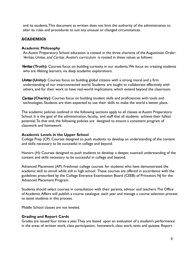and its students.This document as written does not limit the authority of the administration to alter its rules and procedures to suit any unusual or changed circumstances.

## **ACADEMICS**

#### **Academic Philosophy**

An Austin Preparatory School education is rooted in the three charisms of the Augustinian Order: Veritas, Unitas, and Caritas, Austin's curriculum is rooted in these values as follows:

Veritas (Truth): Courses focus on building curiosity in our students. We focus on creating students who are lifelong learners, via deep academic explorations.

Unitas **(Unity):** Courses focus on building global citizens with a strong moral and a firm understanding of our interconnected world. Students are taught to collaborate effectively with others, and for their work to have real-world implications which extend beyond the classroom.

Caritas **(Charity)**: Courses focus on building student skills and proficiencies with tools and technologies. Students are then expected to use their skills to make the world a better place.

The academic policies outlined in the following sections apply to all classes at Austin Preparatory School. It is the goal of the administration, faculty, and staff that all students achieve their fullest potential.To that end, the following policies are designed to ensure a consistent program of classwork and homework.

## **Academic Levels in the Upper School**

College Prep (CP): Courses designed to push students to develop an understanding of the content and skills necessary to be successful in college and beyond.

Honors (H): Courses designed to push students to develop a deeper, nuanced understanding of the content and skills necessary to be successful in college and beyond.

Advanced Placement (AP): Freshman college courses for students who have demonstrated the academic skill to enroll while still in high school. These courses are offered in accordance with the guidelines prescribed by the College Entrance Examination Board (CEEB) of Princeton, NJ for the Advanced Placement Program.

Students should select courses in consultation with their parents, advisor and teachers.The Office of Academic Affairs will publish a course catalogue each year and manage a course selection process to assist students in this process.

Middle School classes are not leveled.

## **Grading and Report Cards**

Grades are issued four times a year.They are based upon an evaluation of a student's performance in the areas of written work, class participation, homework, class work, tests and quizzes. Report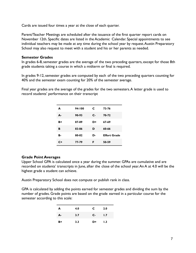Cards are issued four times a year at the close of each quarter.

Parent/Teacher Meetings are scheduled after the issuance of the first quarter report cards on November 12th. Specific dates are listed in the Academic Calendar. Special appointments to see individual teachers may be made at any time during the school year by request.Austin Preparatory School may also request to meet with a student and his or her parents as needed.

## **Semester Grades**

In grades 6-8, semester grades are the average of the two preceding quarters, except for those 8th grade students taking a course in which a midterm or final is required.

In grades 9-12, semester grades are computed by each of the two preceding quarters counting for 40% and the semester exam counting for 20% of the semester average.

Final year grades are the average of the grades for the two semesters. A letter grade is used to record students' performance on their transcript

| A  | 94-100 | C    | 73-76               |
|----|--------|------|---------------------|
| А- | 90-93  | $c-$ | 70-72               |
| B+ | 87-89  | D+   | 67-69               |
| в  | 83-86  | D    | 60-66               |
| в. | 80-82  | D-   | <b>Effort Grade</b> |
| C+ | 77-79  | F    | 50-59               |

## **Grade Point Averages**

Upper School GPA is calculated once a year during the summer. GPAs are cumulative and are recorded on students' transcripts in June, after the close of the school year.An A at 4.0 will be the highest grade a student can achieve.

Austin Preparatory School does not compute or publish rank in class.

GPA is calculated by adding the points earned for semester grades and dividing the sum by the number of grades. Grade points are based on the grade earned in a particular course for the semester according to this scale:

| A  | 4.0 | C    | 2.0 |
|----|-----|------|-----|
| А- | 3.7 | $C-$ | 1.7 |
| B+ | 3.3 | D+   | 1.3 |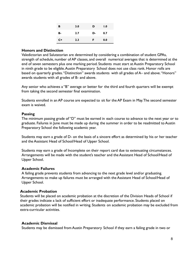| в  | 3.0 | D  | 1.0 |
|----|-----|----|-----|
| в- | 2.7 | D- | 0.7 |
| C+ | 2.3 | F. | 0.0 |

#### **Honors and Distinction**

Valedictorian and Salutatorian are determined by considering a combination of student GPAs, strength of schedule, number of AP classes, and overall numerical averages that is determined at the end of seven semesters plus one marking period. Students must start at Austin Preparatory School in ninth grade to be eligible.Austin Preparatory School does not use class rank. Honor rolls are based on quarterly grades. "Distinction" awards students with all grades of A– and above. "Honors" awards students with all grades of B- and above.

Any senior who achieves a "B" average or better for the third and fourth quarters will be exempt from taking the second semester final examination.

Students enrolled in an AP course are expected to sit for the AP Exam in May.The second semester exam is waived.

#### **Passing**

The minimum passing grade of "D" must be earned in each course to advance to the next year or to graduate. Failures in June must be made up during the summer in order to be readmitted to Austin Preparatory School the following academic year.

Students may earn a grade of D- on the basis of a sincere effort as determined by his or her teacher and the Assistant Head of School/Head of Upper School.

Students may earn a grade of Incomplete on their report card due to extenuating circumstances. Arrangements will be made with the student's teacher and the Assistant Head of School/Head of Upper School.

#### **Academic Failures**

A failing grade prevents students from advancing to the next grade level and/or graduating. Arrangements to make up failures must be arranged with the Assistant Head of School/Head of Upper School.

#### **Academic Probation**

Students will be placed on academic probation at the discretion of the Division Heads of School if their grades indicate a lack of sufficient effort or inadequate performance. Students placed on academic probation will be notified in writing. Students on academic probation may be excluded from extra-curricular activities.

## **Academic Dismissal**

Students may be dismissed from Austin Preparatory School if they earn a failing grade in two or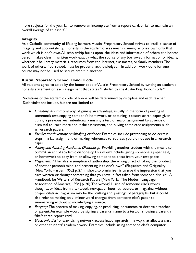more subjects for the year, fail to remove an Incomplete from a report card, or fail to maintain an overall average of at least "C".

## **Integrity**

As a Catholic community of lifelong learners, Austin Preparatory School strives to instill a sense of integrity and accountability. Honesty in the academic area means claiming as one's own only that work which is one's own.All scholarship builds upon the ideas and information of others; the honest person makes clear in written work exactly what the source of any borrowed information or idea is, whether it be library materials, resources from the Internet, classmates, or family members.The work of others, if borrowed, must be properly acknowledged. In addition, work done for one course may not be used to secure credit in another.

## **Austin Preparatory School Honor Code**

All students agree to abide by the honor code of Austin Preparatory School by writing an academic honesty statement on each assignment that states "I abided by the Austin Prep honor code."

Violations of the academic code of honor will be determined by discipline and each teacher. Such violations include, but are not limited to:

- Cheating: An immoral way of gaining an advantage, usually in the form of peeking at someone's test, copying someone's homework, or obtaining a test/research paper given during a previous year, intentionally missing a test or major assignment by absence or dismissal to learn more about the assessment, and buying completed assignments, such as research papers.
- Falsification/Inventing or falsifying evidence: Examples include pretending to do certain steps in a lab assignment, or making references to sources you did not use in a research paper.
- Aiding and Abetting Academic Dishonesty: Providing another student with the means to commit an act of academic dishonesty.This would include giving someone a paper, test, or homework to copy from or allowing someone to cheat from your test paper.
- Plagiarism: "The false assumption of authorship: the wrongful act of taking the product of another person's mind, and presenting it as one's own" (Plagiarism and Originality [New York: Harper, 1952] p. 2.) In short, to plagiarize is to give the impression that you have written or thought something that you have in fact taken from someone else. (MLA Handbook for Writers of Research Papers [New York: The Modern Language Association of America, 1984] p. 20).The wrongful use of someone else's words, thoughts, or ideas from a textbook, newspaper, internet source, or magazine, without proper citation. Plagiarism may be the "cutting and pasting" of paragraphs, but it could also refer to making only minor word changes from someone else's paper, to summarizing without acknowledging a source.
- Forgery: The process of making, copying, or producing documents to deceive a teacher or parent.An example would be signing a parent's name to a test, or showing a parent a fake/altered report card.
- Electronic Dishonesty: Using network access inappropriately in a way that affects a class or other students' academic work. Examples include using someone else's computer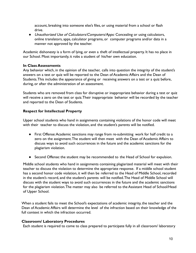account, breaking into someone else's files, or using material from a school or flash drive.

● Unauthorized Use of Calculators/Computers/Apps: Concealing or using calculators, online translators, apps, calculator programs, or computer programs and/or data in a manner not approved by the teacher.

Academic dishonesty is a form of lying, or even a theft of intellectual property. It has no place in our School. Most importantly, it robs a student of his/her own education.

## **In Class Assessments**

Any behavior which, in the opinion of the teacher, calls into question the integrity of the student's answers on a test or quiz will be reported to the Dean of Academic Affairs and the Dean of Students.This includes the appearance of giving or receiving answers on a test or a quiz before, during, or after the administration of an assessment.

Students who are removed from class for disruptive or inappropriate behavior during a test or quiz will receive a zero on the test or quiz.Their inappropriate behavior will be recorded by the teacher and reported to the Dean of Students.

## **Respect for Intellectual Property**

Upper school students who hand in assignments containing violations of the honor code will meet with their teacher to discuss the violation, and the student's parents will be notified.

- First Offense:Academic sanctions may range from re-submitting work for half credit to a zero on the assignment.The student will then meet with the Dean of Academic Affairs to discuss ways to avoid such occurrences in the future and the academic sanctions for the plagiarism violation.
- Second Offense: the student may be recommended to the Head of School for expulsion.

Middle school students who hand in assignments containing plagiarized material will meet with their teacher to discuss the violation to determine the appropriate response. If a middle school student has a second honor code violation, it will then be referred to the Head of Middle School, recorded in the student's record, and the student's parents will be notified.The Head of Middle School will discuss with the student ways to avoid such occurrences in the future and the academic sanctions for the plagiarism violation.The matter may also be referred to the Assistant Head of School/Head of Upper School.

When a student fails to meet the School's expectations of academic integrity, the teacher and the Dean of Academic Affairs will determine the level of the infraction based on their knowledge of the full context in which the infraction occurred.

## **Classroom/ Laboratory Procedures**

Each student is required to come to class prepared to participate fully in all classroom/ laboratory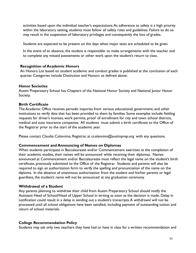activities based upon the individual teacher's expectations.As adherence to safety is a high priority within the laboratory setting, students must follow all safety rules and guidelines. Failure to do so may result in the suspension of laboratory privileges and consequently the loss of grades.

Students are expected to be present on the days when major tests are scheduled to be given.

In the event of an absence, the student is responsible to make arrangements with the teacher and to complete any missed assessments or other work upon the student's return to class.

## **Recognition of Academic Honors**

An Honors List based on student academic and conduct grades is published at the conclusion of each quarter. Categories include Distinction and Honors as defined above.

## **Honor Societies**

Austin Preparatory School has Chapters of the National Honor Society and National Junior Honor Society.

## **Birth Certificate**

The Academic Office receives periodic inquiries from various educational, government, and other institutions to verify data that has been provided to them by families. Some examples include: fielding requests for driver's licenses, work permits, proof of enrollment for city and town school districts, medical and auto insurance companies. All students must submit a birth certificate to the Office of the Registrar prior to the start of the academic year.

Please contact Claudia Colannino, Registrar, at ccolannino@austinprep.org with any questions.

## **Commencement and Announcing of Names on Diplomas**

When students participate in Baccalaureate and/or Commencement exercises at the completion of their academic studies, their names will be announced while receiving their diplomas. Names announced at Commencement and/or Baccalaureate must reflect the legal name on the student's birth certificate, previously submitted to the Office of the Registrar. Students and parents will also be required to sign an authorization form to verify the spelling and pronunciation of the name on the diploma. In the absence of unanimous authorization from the student and his/her parents or legal guardians, the student's name will not be announced at any graduation ceremony.

## **Withdrawal of a Student**

Any parents planning to withdraw their child from Austin Preparatory School should notify the Assistant Head of School/Head of Upper School in writing as soon as the decision is made. Delay in notification could result in a delay in sending out a student's transcripts.A withdrawal will not be processed until all school obligations have been satisfied, including payment of outstanding tuition and return of school materials.

## **College Recommendation Policy**

Students may ask only two teachers they have had or have in class for a written recommendation and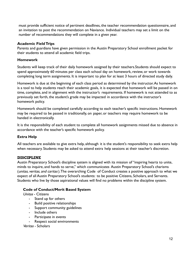must provide sufficient notice of pertinent deadlines, the teacher recommendation questionnaire, and an invitation to post the recommendation on Naviance. Individual teachers may set a limit on the number of recommendations they will complete in a given year.

## **Academic Field Trips**

Parents and guardians have given permission in the Austin Preparatory School enrollment packet for their students to attend all academic field trips.

## **Homework**

Students will keep track of their daily homework assigned by their teachers.Students should expect to spend approximately 60 minutes per class each school day on homework, review, or work towards completing long term assignments. It is important to plan for at least 3 hours of directed study daily.

Homework is due at the beginning of each class period as determined by the instructor.As homework is a tool to help students reach their academic goals, it is expected that homework will be passed in on time, complete, and in alignment with the instructor's requirements. If homework is not attended to as previously set forth, the student's grade may be impacted in accordance with the instructor's homework policy.

Homework should be completed carefully according to each teacher's specific instructions. Homework may be required to be passed in traditionally, on paper, or teachers may require homework to be handed in electronically.

It is the responsibility of each student to complete all homework assignments missed due to absence in accordance with the teacher's specific homework policy.

## **Extra Help**

All teachers are available to give extra help, although it is the student's responsibility to seek extra help when necessary. Students may be asked to attend extra help sessions at their teacher's discretion.

## DISCIPLINE

Austin Preparatory School's discipline system is aligned with its mission of "inspiring hearts to unite, minds to inquire, and hands to serve," which communicates Austin Preparatory School's charisms (unitas, veritas, and caritas ).The overarching Code of Conduct creates a positive approach to what we expect of all Austin Preparatory School's students: to be positive Citizens, Scholars, and Servants. Students who live by those aspirational values will find no problems within the discipline system.

## **Code of Conduct/Merit Based System**

Unitas - Citizens

- Stand up for others
- Build positive relationships
- Support community guidelines
- Include others
- Participate in events
- Respect social environments

Veritas - Scholars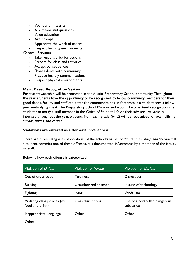- Work with integrity
- Ask meaningful questions
- Value education
- Are prompt
- Appreciate the work of others
- Respect learning environments

Caritas - Servants

- Take responsibility for actions
- Prepare for class and activities
- Accept consequences
- Share talents with community
- Practice healthy communications
- Respect physical environments

#### **Merit Based Recognition System**

Positive stewardship will be promoted in the Austin Preparatory School community.Throughout the year, students have the opportunity to be recognized by fellow community members for their good deeds. Faculty and staff can enter the commendations in Veracross. If a student sees a fellow peer embodying the Austin Preparatory School Mission and would like to extend recognition, the student can notify a staff member in the Office of Student Life or their advisor. At various intervals throughout the year, students from each grade (6-12) will be recognized for exemplifying veritas, unitas, and caritas.

#### **Violations are entered as a demerit in Veracross**

There are three categories of violations of the school's values of "*unitas," "veritas," and "caritas."* If a student commits one of these offenses, it is documented in Veracross by a member of the faculty or staff.

| Violation of Unitas                               | Violation of <i>Veritas</i> | Violation of <i>Caritas</i>                |
|---------------------------------------------------|-----------------------------|--------------------------------------------|
| Out of dress code                                 | <b>Tardiness</b>            | <b>Disrespect</b>                          |
| <b>Bullying</b>                                   | Unauthorized absence        | Misuse of technology                       |
| Fighting                                          | Lying                       | Vandalism                                  |
| Violating class policies (ex.,<br>food and drink) | Class disruptions           | Use of a controlled dangerous<br>substance |
| Inappropriate Language                            | Other                       | Other                                      |
| Other                                             |                             |                                            |

Below is how each offense is categorized.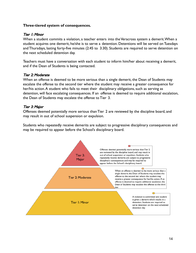#### **Three-tiered system of consequences.**

#### Tier 1: Minor

When a student commits a violation, a teacher enters into the Veracross system a demerit.When a student acquires one demerit, he/she is to serve a detention. Detentions will be served on Tuesdays and Thursdays, lasting forty-five minutes (2:45 to 3:30). Students are required to serve detention on the next scheduled detention day.

Teachers must have a conversation with each student to inform him/her about receiving a demerit, and if the Dean of Students is being contacted.

#### Tier 2: Moderate

When an offense is deemed to be more serious than a single demerit, the Dean of Students may escalate the offense to the second tier where the student may receive a greater consequence for her/his action. A student who fails to meet their disciplinary obligations, such as serving as detention, will face escalating consequences. If an offense is deemed to require additional escalation, the Dean of Students may escalate the offense to Tier 3.

#### Tier 3: Major

Offenses deemed potentially more serious than Tier 2 are reviewed by the discipline board, and may result in out of school suspension or expulsion.

Students who repeatedly receive demerits are subject to progressive disciplinary consequences and may be required to appear before the School's disciplinary board.

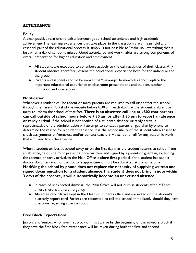## **ATTENDANCE**

## **Policy**

A clear, positive relationship exists between good school attendance and high academic achievement.The learning experiences that take place in the classroom are a meaningful and essential part of the educational process. It simply is not possible to "make up" everything that is lost when a day of school is missed. Good attendance and work habits are strong components of overall preparation for higher education and employment.

- All students are expected to contribute actively to the daily activities of their classes.Any student absence, therefore, lessens the educational experience both for the individual and the group.
- Parents and students should be aware that "make-up" homework cannot replace the important educational experience of classroom presentations and student/teacher discussion and interaction.

## **Notification**

Whenever a student will be absent or tardy, parents are required to call or contact the school through the Parent Portal of the website before 8:30 a.m. each day that the student is absent or tardy to inform the school of that fact. **There is an absentee call line at x802 that parents can call outside of school hours before 7:30 am or after 3:30 pm to report an absence or tardy arrival**. If the school is not notified of a student's absence or tardy arrival, a representative of the administration will attempt to contact a parent or guardian by phone to determine the reason for a student's absence. It is the responsibility of the student when absent to check assignments on Veracross and/or contact teachers via school email for any academic work that is missed from the absence.

When a student arrives at school tardy or on the first day that the student returns to school from an absence, he or she must present a note, written and signed by a parent or guardian, explaining the absence or tardy arrival, to the Main Office **before first period**. If the student has seen a doctor, documentation of the doctor's appointment must be submitted at the same time. **Notifying the school by phone does not replace the necessity of supplying written and signed documentation for a student absence. If a student does not bring in note within 3 days of the absence, it will automatically become an unexcused absence.**

- In cases of unexpected dismissal the Main Office will not dismiss students after 2:00 pm, unless there is a dire emergency.
- Absentee records are kept in the Dean of Students office and are noted on the student's quarterly report card. Parents are requested to call the school immediately should they have questions regarding absence totals.

## **Free Block Expectations**

Juniors and Seniors who have first block off must arrive by the beginning of the advisory block if they have the first block free.Attendance will be taken during both the first and second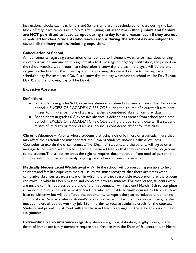instructional blocks each day. Juniors and Seniors who are not scheduled for class during the last block off may leave campus at 1:15 p.m. after signing out in the Main Office. **Juniors and Seniors are NOT permitted to leave campus during the day for any reason even if they are not scheduled for class. Students who leave campus during the school day are subject to severe disciplinary action, including expulsion.**

## **Cancellation of School**

Announcements regarding cancellation of school due to inclement weather or hazardous driving conditions will be announced through email, a text message emergency notification, and posted on the school website. Upon return to school after a snow day, the day in the cycle will be the one originally scheduled for the snow day, and the following day we will return to the regularly scheduled day. For instance, if Day 2 is a snow day, the day we return to school will be Day 2 (**not** Day 3), and the following day will be Day 4.

## **Excessive Absence**

## **Definition:**

- For students in grades 9-12, excessive absence is defined as absence from a class for a time period in EXCESS OF 2 ACADEMIC PERIODS during the course of a quarter. If a student misses 45 minutes or more of a class, he/she is considered absent from that class.
- For students in grades 6-8, excessive absence is defined as absence from school for a time period in EXCESS OF 3 ACADEMIC PERIODS during the course of a quarter. If a student misses 45 minutes or more of a class, he/she is considered absent for that class.

**Chronic Absence –** Parents whose students are facing a chronic illness or traumatic injury that may affect their attendance must contact the Dean of Students and/or Health & Wellness Counselor to explain the circumstances.The Dean of Students and the parents will agree on a message to be shared with teachers and the Division Head so that they can meet their obligations to the student.The school reserves the right to require documentation from medical personnel and to contact counselors to verify ongoing care, where it deems necessary.

**Medically Necessitated Withdrawal –** While the school will do everything possible to help students and families cope with medical issues, we must recognize that there are times when cumulative absences create a situation in which there is no reasonable expectation that the student can make up what has been missed and complete new assignments. For that reason, students who are unable to finish courses by the end of the first semester will have until March 15th to complete all work due during the first semester. Students who are unable to finish courses by March 15th will have to withdraw but will be offered the opportunity to repeat the year at reduced tuition or no additional cost. Similarly, when a student's second semester is disrupted by chronic illness, he/she must complete all course work by July 15th in order to receive academic credit for the courses. Students and parents must meet with the Division Head to arrange for these extensions on their assignments.

**Extraordinary Circumstances** regarding absence, e.g., hospitalization, lengthy illness, or the death of immediate family members require a conference with the Dean of Students and/or Health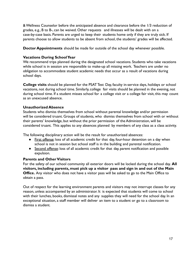& Wellness Counselor before the anticipated absence and clearance before the 1/3 reduction of grades, e.g., B to B-, can be waived. Other requests and illnesses will be dealt with on a case-by-case basis. Parents are urged to keep their students home only if they are truly sick. If parents choose to allow students to be absent from school, the students' grades will be affected.

**Doctor Appointments** should be made for outside of the school day whenever possible.

## **Vacations During School Year**

We recommend trips planned during the designated school vacations. Students who take vacations while school is in session are responsible to make-up all missing work. Teachers are under no obligation to accommodate student academic needs that occur as a result of vacations during school days.

**College visits** should be planned for the PSAT Test Day, faculty in-service days, holidays or school vacations, not during school time. Similarly, college fair visits should be planned in the evening, not during school time. If a student misses school for a college visit or a college fair visit, this may count as an unexcused absence.

## **Unauthorized Absence**

Students who dismiss themselves from school without parental knowledge and/or permission will be considered truant. Groups of students, who dismiss themselves from school with or without their parents' knowledge, but without the prior permission of the Administration, will be considered truant. This applies to any absences planned by members of any class as a class activity.

The following disciplinary action will be the result for unauthorized absences:

- First offense: loss of all academic credit for that day, four-hour detention on a day when school is not in session but school staff is in the building and parental notification.
- Second offense: loss of all academic credit for that day, parent notification and possible expulsion.

## **Parents and Other Visitors**

For the safety of our school community all exterior doors will be locked during the school day. **All visitors, including parents, must pick up a visitor pass and sign in and out of the Main Office.** Any visitor who does not have a visitor pass will be asked to go to the Main Office to obtain a pass.

Out of respect for the learning environment parents and visitors may not interrupt classes for any reason, unless accompanied by an administrator. It is expected that students will come to school with their lunches, books, dismissal notes and any supplies they will need for the school day. In an exceptional situation, a staff member will deliver an item to a student or go to a classroom to dismiss a student.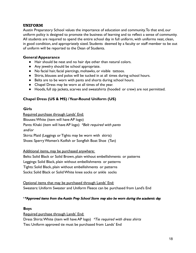## UNIFORM

Austin Preparatory School values the importance of education and community.To that end, our uniform policy is designed to promote the business of learning and to reflect a sense of community. All students are required to spend the entire school day in full uniform, with uniforms neat, clean, in good condition, and appropriately sized. Students deemed by a faculty or staff member to be out of uniform will be reported to the Dean of Students.

## **General Appearance**

- Hair should be neat and no hair dye other than natural colors.
- Any jewelry should be school appropriate.
- No facial hair, facial piercings, mohawks, or visible tattoos.
- Shirts, blouses and polos will be tucked in at all times during school hours.
- Belts are to be worn with pants and shorts during school hours.
- Chapel Dress may be worn at all times of the year.
- Hoods, full zip jackets, scarves and sweatshirts (hooded or crew) are not permitted.

## **Chapel Dress (US & MS) / Year-Round Uniform (US)**

## **Girls**

Required purchase through Lands' End: Blouses:White (item will have AP logo) Pants: Khaki (item will have AP logo) \*Belt required with pants and/or Skirts: Plaid (Leggings or Tights may be worn with skirts) Shoes: Sperry Women's Koifish or Songfish Boat Shoe (Tan)

Additional items, may be purchased anywhere:

Belts: Solid Black or Solid Brown, plain without embellishments or patterns Leggings: Solid Black, plain without embellishments or patterns Tights: Solid Black, plain without embellishments or patterns

Socks: Solid Black or Solid White knee socks or ankle socks

Optional items that may be purchased through Lands' End: Sweaters: Uniform Sweater and Uniform Fleece can be purchased from Land's End

## \*\*Approved items from the Austin Prep School Store may also be worn during the academic day.

## **Boys**

Required purchase through Lands' End:

Dress Shirts: White (item will have AP logo) \*Tie required with dress shirts Ties: Uniform approved tie must be purchased from Lands' End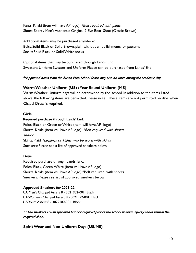Pants: Khaki (item will have AP logo) \*Belt required with pants Shoes: Sperry Men's Authentic Original 2-Eye Boat Shoe (Classic Brown)

Additional items, may be purchased anywhere: Belts: Solid Black or Solid Brown, plain without embellishments or patterns Socks: Solid Black or Solid White socks

Optional items that may be purchased through Lands' End: Sweaters: Uniform Sweater and Uniform Fleece can be purchased from Lands' End

## \*\*Approved items from the Austin Prep School Store may also be worn during the academic day.

## **Warm Weather Uniform (US) / Year-Round Uniform (MS)**

Warm Weather Uniform days will be determined by the school. In addition to the items listed above, the following items are permitted. Please note: These items are not permitted on days when Chapel Dress is required.

## **Girls**

Required purchase through Lands' End: Polos: Black or Green or White (item will have AP logo) Shorts: Khaki (item will have AP logo) \*Belt required with shorts and/or Skirts: Plaid \*Leggings or Tights may be worn with skirts Sneakers: Please see a list of approved sneakers below

## **Boys**

Required purchase through Lands' End: Polos: Black, Green,White (item will have AP logo) Shorts: Khaki (item will have AP logo) \*Belt required with shorts Sneakers: Please see list of approved sneakers below

## **Approved Sneakers for 2021-22**

UA Men's Charged Assert 8 - 3021952-001 Black UAWomen's Charged Assert 8 - 3021972-001 Black UAYouth Assert 8 - 3022100-001 Black

 $**$  The sneakers are an approved but not required part of the school uniform. Sperry shoes remain the required shoe.

**Spirit Wear and Non-Uniform Days (US/MS)**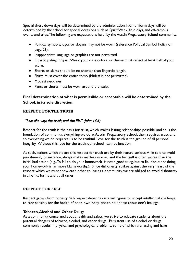Special dress down days will be determined by the administration. Non-uniform days will be determined by the school for special occasions such as Spirit Week, field days, and off-campus events and trips.The following are expectations held by the Austin Preparatory School community:

- Political symbols, logos or slogans may not be worn (reference Political Symbol Policy on page 26).
- Inappropriate language or graphics are not permitted.
- If participating in Spirit Week, your class colors or theme must reflect at least half of your attire.
- Shorts or skirts should be no shorter than fingertip length.
- Shirts must cover the entire torso (Midriff is not permitted).
- Modest necklines.
- Pants or shorts must be worn around the waist.

## **Final determination of what is permissible or acceptable will be determined by the School, in its sole discretion.**

## RESPECT FOR THE TRUTH

## "I am the way, the truth, and the life." (John 14:6)

Respect for the truth is the basis for trust, which makes lasting relationships possible, and so is the foundation of community. Everything we do at Austin Preparatory School, then, requires trust, and so everything we do requires us to be truthful. Love for the truth is the ground of all personal integrity. Without this love for the truth, our school cannot function.

As such, actions which violate this respect for truth are by their nature serious.A lie told to avoid punishment, for instance, always makes matters worse, and the lie itself is often worse than the initial bad action (e.g.,To fail to do your homework is not a good thing, but to lie about not doing your homework is far more blameworthy.). Since dishonesty strikes against the very heart of the respect which we must show each other to live as a community, we are obliged to avoid dishonesty in all of its forms and at all times.

## RESPECT FOR SELF

Respect grows from honesty. Self-respect depends on a willingness to accept intellectual challenge, to care sensibly for the health of one's own body, and to be honest about one's feelings.

## **Tobacco,Alcohol and Other Drugs**

As a community concerned about health and safety, we strive to educate students about the potential dangers of tobacco, alcohol, and other drugs. Persistent use of alcohol or drugs commonly results in physical and psychological problems, some of which are lasting and have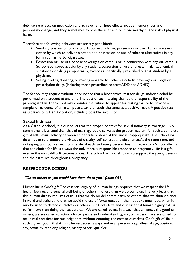debilitating effects on motivation and achievement.These effects include memory loss and personality change, and they sometimes expose the user and/or those nearby to the risk of physical harm.

Therefore, the following behaviors are strictly prohibited:

- Smoking, possession or use of tobacco in any form; possession or use of any smokeless device by which to deliver nicotine; and possession or use of tobacco alternatives in any form, such as herbal cigarettes.
- Possession or use of alcoholic beverages on campus or in connection with any off- campus School-sponsored activity by any student; possession or use of drugs, inhalants, chemical substances, or drug paraphernalia, except as specifically prescribed to that student by a physician.
- Selling, trading, donating, or making available to others alcoholic beverages or illegal or prescription drugs (including those prescribed to treat ADD and ADHD).

The School may require without prior notice that a biochemical test for drugs and/or alcohol be performed on a student at any time.The cost of such testing shall be the responsibility of the parent/guardian.The School may consider the failure to appear for testing, failure to provide a sample, or evidence of an attempt to alter the result the same as a positive result.A positive test result leads to a Tier 3 violation, including possible expulsion.

## **Sexual Intimacy**

As a Catholic school, it is our belief that the proper context for sexual intimacy is marriage. No commitment less total than that of marriage could serve as the proper medium for such a complete gift of self. Sexual activity between students falls short of this and is inappropriate. The School will do all it can to promote the virtues of chastity, self-control, and abstinence.At the same time, and in keeping with our respect for the life of each and every person, Austin Preparatory School affirms that the choice for life is always the only morally responsible response to pregnancy. Life is a gift, even in the most difficult circumstances. The School will do all it can to support the young parents and their families throughout a pregnancy.

## RESPECT FOR OTHERS

## "Do to others as you would have them do to you." (Luke 6:31)

Human life is God's gift.The essential dignity of human beings requires that we respect the life, health, feelings, and general well-being of others, no less than we do our own.The very least that this human dignity requires of us is that we do no deliberate harm to others, that we shun violence in word and action, and that we avoid the use of force except in the most extreme need, when it may be used to defend ourselves or others. But God's love and our essential human dignity call us to far more than doing the least we can.We are called to act in a way that enhances the good of others; we are called to actively foster peace and understanding; and, on occasion, we are called to make real sacrifices for our neighbors, without counting the cost to ourselves. God's gift of life is such a great good, that it must be respected always and in all persons, regardless of age, position, sex, sexuality, ethnicity, religion, or any other qualifier.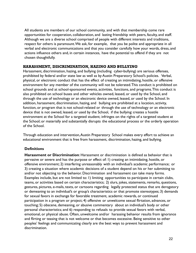All students are members of our school community, and with that membership come rare opportunities for cooperation, collaboration, and lasting friendship with peers, faculty, and staff. Although we are a diverse school comprised of people with different interests and traditions, respect for others is paramount.We ask, for example, that you be polite and appropriate in all verbal and electronic communications and that you consider carefully how your words, dress, and actions influence others and, in certain instances, have the potential to offend if they are not chosen thoughtfully.

## HARASSMENT, DISCRIMINATION, HAZING AND BULLYING

Harassment, discrimination, hazing, and bullying (including cyber-bullying) are serious offenses, prohibited by federal and/or state law as well as by Austin Preparatory School's policies. Verbal, physical, or electronic conduct that has the effect of creating an intimidating, hostile, or offensive environment for any member of the community will not be tolerated.This conduct is prohibited on school grounds and at school-sponsored events, activities, functions, and programs.This conduct is also prohibited on school buses and other vehicles owned, leased, or used by the School, and through the use of technology or an electronic device owned, leased, or used by the School. In addition, harassment, discrimination, hazing, and bullying are prohibited at a location, activity, function, or program that is not school-related or through the use of technology or an electronic device that is not owned, leased, or used by the School, if the bullying: creates a hostile environment at the School for a targeted student; infringes on the rights of a targeted student at the School; or materially and substantially disrupts the educational process or the orderly operation of the School.

Through education and intervention,Austin Preparatory School makes every effort to achieve an educational environment that is free from harassment, discrimination, hazing, and bullying.

## **Definitions**

**Harassment or Discrimination**: Harassment or discrimination is defined as behavior that is pervasive or severe and has the purpose or effect of: 1) creating an intimidating, hostile, or offensive environment; 2) interfering unreasonably with an individual's academic performance; or 3) creating a situation where academic decisions of a student depend on his or her submitting to and/or not objecting to the behavior. Discrimination and harassment can take many forms. Examples include, but are not limited to: 1) limiting opportunities to participate in certain clubs, teams, or activities based on certain characteristics; 2) slurs, jokes, statements, remarks, questions, gestures, pictures, e-mails, texts, or cartoons regarding legally protected status that are derogatory or demeaning to an individual's or group's characteristics or that promote stereotypes; 3) demands for sexual favors in exchange for favorable treatment, academic rewards, or continued participation in a program or project; 4) offensive or unwelcome sexual flirtation, advances, or touching; 5) obscene, demeaning, or abusive commentary about an individual's body or other personal characteristics; and 6) responding to refusals to provide sexual favors with verbal, emotional, or physical abuse. Often, unwelcome and/or harassing behavior results from ignorance and flirting or teasing that is not welcome or that becomes excessive. Being sensitive to other peoples' feelings and communicating clearly are the best ways to prevent harassment and discrimination.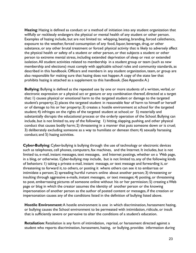**Hazing**: Hazing is defined as conduct or a method of initiation into any student organization that willfully or recklessly endangers the physical or mental health of any student or other person. Examples of hazing include, but are not limited to: whipping, beating, branding, forced calisthenics, exposure to the weather, forced consumption of any food, liquor, beverage, drug, or other substance, or any other brutal treatment or forced physical activity that is likely to adversely affect the physical health or safety of a student or other person, or that subjects a student or other person to extreme mental stress, including extended deprivation of sleep or rest or extended isolation.All student activities related to membership in a student group or team (such as new membership and elections) must comply with applicable school rules and community standards, as described in this handbook. Officers and members in any student organization, team, or group are also responsible for making sure that hazing does not happen.A copy of the state law that prohibits hazing is attached as a supplement to this handbook. (See Appendix A.)

**Bullying**: Bullying is defined as the repeated use by one or more students of a written, verbal, or electronic expression or a physical act or gesture or any combination thereof, directed at a target that: 1) causes physical or emotional harm to the targeted student or damage to the targeted student's property; 2) places the targeted student in reasonable fear of harm to himself or herself or of damage to his or her property; 3) creates a hostile environment at school for the targeted student; 4) infringes on the rights of the targeted student at school; or 5) materially and substantially disrupts the educational process or the orderly operation of the School. Bullying can include, but is not limited to, any of the following: 1) hitting, slapping, pushing, and other physical conduct that causes bodily harm; 2) threatening in a manner that puts someone down or is cruel; 3) deliberately excluding someone as a way to humiliate or demean them; 4) sexually harassing conduct; and 5) hazing activities.

**Cyber-Bullying**: Cyber-bullying is bullying through the use of technology or electronic devices such as telephones, cell phones, computers, fax machines, and the Internet. It includes, but is not limited to, e-mail, instant messages, text messages, and Internet postings, whether on a Web page, in a blog, or otherwise. Cyber-bullying may include, but is not limited to, any of the following kinds of behaviors: 1) taking a private e-mail, instant message, or text message and forwarding it, or threatening to forward it, to others, or posting it where others can see it to embarrass or intimidate a person; 2) spreading hurtful rumors online about another person; 3) threatening or insulting through aggressive e-mails, instant messages, or text messages; 4) posting, or threatening to post, embarrassing pictures of someone online without his or her permission; 5) creating a Web page or blog in which the creator assumes the identity of another person or the knowing impersonation of another person as the author of posted content or messages, if the creation or impersonation causes any of the conditions listed in the definition of bullying listed above.

**Hostile Environment**:A hostile environment is one in which discrimination, harassment hazing, or bullying causes the School environment to be permeated with intimidation, ridicule, or insult that is sufficiently severe or pervasive to alter the conditions of a student's education.

**Retaliation**: Retaliation is any form of intimidation, reprisal, or harassment directed against a student who reports discrimination, harassment, hazing, or bullying, provides information during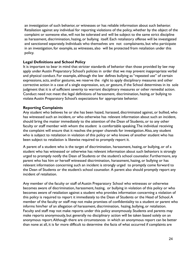an investigation of such behavior, or witnesses or has reliable information about such behavior. Retaliation against any individual for reporting violations of the policy, whether by the object of the complaint or someone else, will not be tolerated and will be subject to the same strict discipline as harassment, discrimination, hazing, or bullying itself. Each retaliatory offense will be investigated and sanctioned separately. Individuals who themselves are not complainants, but who participate in an investigation, for example, as witnesses, also will be protected from retaliation under this policy.

## **Legal Definitions and School Policy**

It is important to bear in mind that stricter standards of behavior than those provided by law may apply under Austin Preparatory School's policies in order that we may prevent inappropriate verbal and physical conduct. For example, although the law defines bullying as "repeated use" of certain expressions, acts, and/or gestures, we reserve the right to apply disciplinary measures and other corrective action in a case of a single expression, act, or gesture, if the School determines in its sole judgment that it is of sufficient severity to warrant disciplinary measures or other remedial action. Conduct need not meet the legal definitions of harassment, discrimination, hazing, or bullying to violate Austin Preparatory School's expectations for appropriate behavior.

## **Reporting Complaints**

Any student who believes he or she has been hazed, harassed, discriminated against, or bullied, who has witnessed such an incident, or who otherwise has relevant information about such an incident, should bring the matter immediately to the attention of the Dean of Students, or to any other faculty or staff member with whom the student is comfortable speaking.The individual receiving the complaint will ensure that it reaches the proper channels for investigation.Also, any student who is subject to retaliation in violation of this policy or who knows of another student who has been subject to retaliation is likewise required to promptly report it.

A parent of a student who is the target of discrimination, harassment, hazing, or bullying, or of a student who has witnessed or otherwise has relevant information about such behaviors is strongly urged to promptly notify the Dean of Students or the student's school counselor. Furthermore, any parent who has him or herself witnessed discrimination, harassment, hazing, or bullying or has relevant information concerning such an incident is strongly urged to promptly come forward to the Dean of Students or the student's school counselor. A parent also should promptly report any incident of retaliation.

Any member of the faculty or staff of Austin Preparatory School who witnesses or otherwise becomes aware of discrimination, harassment, hazing, or bullying in violation of this policy or who becomes aware of retaliation against a student who provides information concerning a violation of this policy is required to report it immediately to the Dean of Students or the Head of School.A member of the faculty or staff may not make promises of confidentiality to a student or parent who informs him/her of an allegation of harassment, discrimination, hazing, bullying, or retaliation. Faculty and staff may not make reports under this policy anonymously. Students and parents may make reports anonymously, but generally no disciplinary action will be taken based solely on an anonymous report.Although there are circumstances in which an anonymous report can be better than none at all, it is far more difficult to determine the facts of what occurred if complaints are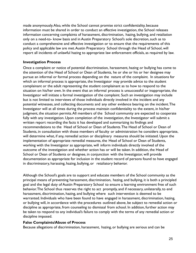made anonymously.Also, while the School cannot promise strict confidentiality, because information must be shared in order to conduct an effective investigation, the School releases information concerning complaints of harassment, discrimination, hazing, bullying, and retaliation only on a need-to- know basis and in Austin Preparatory School's sole discretion, such as to conduct a comprehensive and effective investigation or to ensure that the requirements of this policy and applicable law are met.Austin Preparatory School through the Head of School, will report all incidents of unlawful hazing to appropriate law enforcement officials, as required by law.

## **Investigation Process**

Once a complaint or notice of potential discrimination, harassment, hazing or bullying has come to the attention of the Head of School or Dean of Students, he or she or his or her designee may pursue an informal or formal process depending on the nature of the complaint. In situations for which an informal process is appropriate, the Investigator may provide advice to the student complainant or the adult representing the student complainant as to how to respond to the situation on his/her own. In the event that an informal process is unsuccessful or inappropriate, the Investigator will initiate a formal investigation of the complaint. Such an investigation may include but is not limited to interviews of those individuals directly involved in the incident and any potential witnesses, and collecting documents and any other evidence bearing on the incident.The Investigator will at all times during the process maintain confidentiality to the extent, in his/her judgment, the situation permits.All members of the School community are expected to cooperate fully with any investigation. Upon completion of the investigation, the Investigator will submit a written report recording the facts it has developed and summarizing its findings and recommendations to the Head of School or Dean of Students.The Head of School or Dean of Students, in consultation with those members of faculty or administration he considers appropriate, will determine what, if any, remedial action or disciplinary measures should be initiated. Upon the implementation of appropriate remedial measures, the Head of School or Dean of Students, working with the Investigator as appropriate, will inform individuals directly involved of the outcome of the investigation and whether action has or will be taken. In addition, the Head of School or Dean of Students or designee, in conjunction with the Investigator, will provide documentation as appropriate for inclusion in the student record of persons found to have engaged in discriminatory, harassing, hazing, bullying, or retaliatory behavior.

Although the School's goals are to support and educate members of the School community as the principal means of preventing harassment, discrimination, hazing, and bullying, it is both a principled goal and the legal duty of Austin Preparatory School to ensure a learning environment free of such behavior.The School thus reserves the right to act promptly, and if necessary, unilaterally, to end harassment, discrimination, hazing, and bullying where such intervention is deemed to be warranted. Individuals who have been found to have engaged in harassment, discrimination, hazing, or bullying will, in accordance with the procedures outlined above, be subject to remedial action or discipline as appropriate, from counseling to dismissal from school. In addition, further action may be taken to respond to any individual's failure to comply with the terms of any remedial action or discipline imposed.

## **False Complaints/Abuse of Process**

Because allegations of discrimination, harassment, hazing, or bullying are serious and can be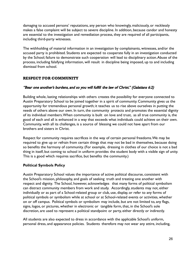damaging to accused persons' reputations, any person who knowingly, maliciously, or recklessly makes a false complaint will be subject to severe discipline. In addition, because candor and honesty are essential to the investigation and remediation process, they are required of all participants, including third-party witnesses.

The withholding of material information in an investigation by complainants, witnesses, and/or the accused party is prohibited. Students are expected to cooperate fully in an investigation conducted by the School; failure to demonstrate such cooperation will lead to disciplinary action.Abuse of the process, including falsifying information, will result in discipline being imposed, up to and including dismissal from school.

## RESPECT FOR COMMUNITY

## "Bear one another's burdens, and so you will fulfill the law of Christ." (Galatians 6:2)

Building whole, lasting relationships with others creates the possibility for everyone connected to Austin Preparatory School to be joined together in a spirit of community. Community gives us the opportunity for tremendous personal growth; it teaches us to rise above ourselves in putting the needs of others above our own. In turn, the community protects and promotes the essential dignity of its individual members.When community is built on love and trust, as all true community is, the good of each and all is enhanced in a way that exceeds what individuals could achieve on their own. Community, with all its challenges, is a source of blessing we could not have apart from our brothers and sisters in Christ.

Respect for community requires sacrifices in the way of certain personal freedoms.We may be required to give up or refrain from certain things that may not be bad in themselves, because doing so benefits the harmony of community. (For example, dressing in clothes of our choice is not a bad thing in itself, but coming to school in uniform provides the student body with a visible sign of unity. This is a good which requires sacrifice, but benefits the community.)

## **Political Symbols Policy**

Austin Preparatory School values the importance of active political discourse, consistent with the School's mission, philosophy, and goals of seeking truth and treating one another with respect and dignity. The School, however, acknowledges that many forms of political symbolism can distract community members from work and study. Accordingly, students may not, either individually or as part of a School-related group or club, use, display, or refer to any forms of political symbols or symbolism while at school or at School-related events or activities, whether on or off campus. Political symbols or symbolism may include, but are not limited to, any flags, signs, logos, or pictures, whether in electronic or tangible form, that, in the School's sole discretion, are used to represent a political standpoint or party, either directly or indirectly.

All students are also expected to dress in accordance with the applicable School's uniform, personal dress, and appearance policies. Students therefore may not wear any attire, including,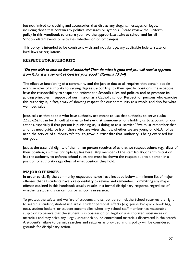but not limited to, clothing and accessories, that display any slogans, messages, or logos, including those that contain any political messages or symbols. Please review the Uniform policy in this Handbook to ensure you have the appropriate attire at school and for all School-related events or activities, whether on or off campus.

This policy is intended to be consistent with, and not abridge, any applicable federal, state, or local laws or regulations.

#### RESPECT FOR AUTHORITY

#### "Do you wish to have no fear of authority? Then do what is good and you will receive approval from it, for it is a servant of God for your good." (Romans 13:3-4)

The effective functioning of a community and the justice due to all requires that certain people exercise roles of authority.To varying degrees, according to their specific positions, these people have the responsibility to shape and enforce the School's rules and policies, and to promote its guiding principles in support of our mission as a Catholic school. Respect for persons who exercise this authority is, in fact, a way of showing respect for our community as a whole, and also for what we most value.

Jesus tells us that people who have authority are meant to use that authority to serve (Luke 22:25-26). It can be difficult at times to believe that someone who is holding us to account for our actions, especially if that person is punishing us, is doing so as a "service." We must remember that all of us need guidance from those who are wiser than us, whether we are young or old.All of us need the service of authority.We try to grow in trust that that authority is being exercised for our good.

Just as the essential dignity of the human person requires of us that we respect others regardless of their position, a similar principle applies here. Any member of the staff, faculty, or administration has the authority to enforce school rules and must be shown the respect due to a person in a position of authority, regardless of what position they hold.

#### MAJOR OFFENSES

In order to clarify the community expectations, we have included below a minimum list of major offenses that all students have a responsibility to review and remember. Committing any major offense outlined in this handbook usually results in a formal disciplinary response regardless of whether a student is on campus or school is in session.

To protect the safety and welfare of students and school personnel, the School reserves the right to search a student, student use areas, student personal effects (e.g., purse, backpack, book bag, etc.), student lockers, or student automobiles when any school staff member has reasonable suspicion to believe that the student is in possession of illegal or unauthorized substances or materials and may seize any illegal, unauthorized, or contraband materials discovered in the search. A student's failure to permit searches and seizures as provided in this policy will be considered grounds for disciplinary action.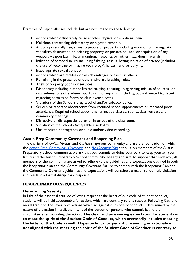Examples of major offenses include, but are not limited to, the following:

- Actions which deliberately cause another physical or emotional pain.
- Malicious, threatening, defamatory, or bigoted remarks.
- Actions potentially dangerous to people or property, including violation of fire regulations; vandalism, destruction or defacing property; or possession, use, or acquisition of any weapon, weapon facsimile, ammunition, fireworks, or other hazardous materials.
- Infliction of personal injury, including fighting, assault, hazing, violation of privacy (including the use of recording or imaging technology), harassment, or bullying.
- Inappropriate sexual conduct.
- Actions which are reckless, or which endanger oneself or others.
- Remaining in the presence of others who are breaking rules.
- Theft of property, goods or services.
- Dishonesty, including but not limited to, lying, cheating, plagiarizing, misuse of sources, or dual submissions of academic work; fraud of any kind, including, but not limited to, deceit regarding permission forms or class excuse notes.
- Violations of the School's drug, alcohol and/or tobacco policy.
- Serious or repeated absenteeism from required school appointments or repeated poor attendance. Required school appointments include classes, sports, class retreats and community meetings.
- Disruptive or disrespectful behavior in or out of the classroom.
- Violation of the School's Acceptable Use Policy.
- Unauthorized photography or audio and/or video recording.

## **Austin Prep Community Covenant and Reopening Plan**

The charisms of *Unitas, Veritas* and *Caritas* shape our community and are the foundation on which the [Austin Prep Community Covenant](https://www.austinprep.org/reopening#fs-panel-4134) and [Re-Opening](https://resources.finalsite.net/images/v1598642579/austinprep/sljtjb3did0aeuruhozi/Reopening_Plan_08282020.pdf) Plan are built. As members of the Austin Preparatory School community, we ask that you commit to doing your part to keep yourself, your family, and the Austin Preparatory School community healthy and safe. To support that endeavor, all members of the community are asked to adhere to the guidelines and expectations outlined in both the Reopening plan and the Community Covenant. Failure to comply with the Reopening Plan and the Community Covenant guidelines and expectations will constitute a major school rule violation and result in a formal disciplinary response.

## DISCIPLINARY CONSEQUENCES

## **Determining Severity**

In light of the essential attitude of loving respect at the heart of our code of student conduct, students will be held accountable for actions which are contrary to this respect. Following Catholic moral tradition, the severity of actions which go against our code of conduct is determined by the nature of the action in itself, the intent of the person or persons who commit it, and the circumstances surrounding the action. **The clear and unwavering expectation for students is to meet the spirit of the Student Code of Conduct, which necessarily includes meeting the letter of the Code as well. Hypertechnical or pedantic reasoning or rationale is not aligned with the meeting the spirit of the Student Code of Conduct, is contrary to**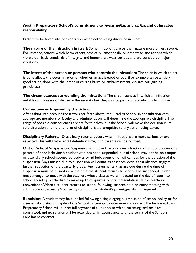## **Austin Preparatory School's commitment to** veritas, unitas, **and** caritas**, and obfuscates responsibility.**

Factors to be taken into consideration when determining discipline include:

**The nature of the infraction in itself:** Some infractions are by their nature more or less severe. For instance, actions which harm others, physically, emotionally, or otherwise, and actions which violate our basic standards of integrity and honor are always serious and are considered major violations.

**The intent of the person or persons who commit the infraction:** The spirit in which an act is done affects the determination of whether an act is good or bad. (For example, an ostensibly good action, done with the intent of causing harm or embarrassment, violates our guiding principles.)

**The circumstances surrounding the infraction:** The circumstances in which an infraction unfolds can increase or decrease the severity, but they cannot justify an act which is bad in itself.

#### **Consequences Imposed by the School**

After taking into account the factors set forth above, the Head of School, in consultation with appropriate members of faculty and administration, will determine the appropriate discipline.The range of possible consequences are set forth below, but the School will make the decision in its sole discretion and no one form of discipline is a prerequisite to any action being taken.

**Disciplinary Referral:** Disciplinary referral occurs when infractions are more serious or are repeated.This will always entail detention time, and parents will be notified.

**Out of School Suspension:** Suspension is imposed for a serious infraction of school policies or a pattern of poor behavior.A student who has been suspended out of school may not be on campus or attend any school-sponsored activity or athletic event on or off campus for the duration of the suspension. Days missed due to suspension will count as absences, even if that absence triggers further reduction of the quarterly grade. Any assignments that are due during the time of suspension must be turned in by the time the student returns to school.The suspended student must arrange to meet with the teachers whose classes were impacted on the day of return to school to set up a schedule to make up tests, quizzes or oral presentations at the teachers' convenience.When a student returns to school following suspension, a re-entry meeting with administration, advisory/counseling staff, and the student's parent/guardian is required.

**Expulsion:** A student may be expelled following a single egregious violation of school policy or for a series of violations in spite of the School's attempts to intervene and correct the behavior.Austin Preparatory School will expect full payment of all tuition to which parents/guardians have committed, and no refunds will be extended, all in accordance with the terms of the School's enrollment contract.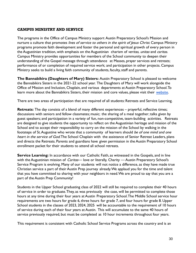## CAMPUS MINISTRY AND SERVICE

The programs in the Office of Campus Ministry support Austin Preparatory School's Mission and nurture a culture that promotes lives of service to others in the spirit of lesus Christ. Campus Ministry programs promote faith development and foster the personal and spiritual growth of every person in the Augustinian tradition, with emphasis on the Augustinian charism of veritas, unitas and caritas. Campus Ministry provides opportunities for members of the School community to deepen their understanding of the Gospel message through: attendance at Masses, prayer services and retreats; performance of or completion of required service work; and participation in other projects. Campus Ministry seeks to build a living faith community of students, faculty, staff and parents.

**The Bannabikira (Daughters of Mary) Sisters:** Austin Preparatory School is pleased to welcome the Bannabikira Sisters in the 2021-22 school year. The Daughters of Mary will work alongside the Office of Mission and Inclusion, Chaplain, and various departments at Austin Preparatory School.To learn more about the Bannabikira Sisters, their mission and core values, please visit their [website](https://bannabikirasisters.org/).

There are two areas of participation that are required of all students: Retreats and Service Learning.

**Retreats:** The day consists of a blend of many different experiences – prayerful, reflective times; discussions with seniors and fellow classmates; music; the sharing of a meal together; talks given by guest speakers; and participation in a variety of fun, non-competitive, team-building activities. Retreats are designed to give students the opportunity to reflect on the Augustinian heritage and mission of the School and to accept their responsibility to carry on the mission of the School by walking in the footsteps of St. Augustine who wrote that a community of learners should be of one mind and one heart in the service of God. The School Chaplain with the assistance of Senior Retreat Leaders, plans and directs the Retreats. Parents and guardians have given permission in the Austin Preparatory School enrollment packet for their students to attend all school retreats.

**Service Learning:** In accordance with our Catholic Faith, as witnessed in the Gospels, and in line with the Augustinian mission of *Caritas*— love or literally, Charity — Austin Preparatory School's Service Program is evolving. Many of our students will not notice a difference, as they have made true Christian service a part of their Austin Prep journey already.We applaud you for the time and talent that you have committed to sharing with your neighbors in need.We are proud to say that you are a part of the Austin Prep Community!

Students in the Upper School graduating class of 2022 will still be required to complete their 40 hours of service in order to graduate.They, as was previously the case, will be permitted to complete those hours at any time during their four years at Austin Preparatory School.The Middle School service hour requirements are two hours for grade 6, three hours for grade 7, and four hours for grade 8. Upper School students in the classes of 2023, 2024, 2025 will be accountable to the requirement of 10 hours of service during each of their four years at Austin. This will accumulate to the same 40 hours of service previously required, but must be completed as 10 hour increments throughout four years.

This requirement is consistent with Catholic School Service Programs across the country and is an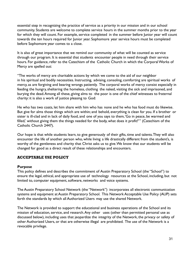essential step in recognizing the practice of service as a priority in our mission and in our school community. Students are welcome to complete service hours in the summer months prior to the year for which they will count. For example, service completed in the summer before Junior year will count towards the ten hours required for Junior year. Sophomore year service hours must be completed before Sophomore year comes to a close.

It is also of great importance that we remind our community of what will be counted as service through our program. It is essential that students encounter people in need through their service hours. For guidance, refer to the Catechism of the Catholic Church in which the Corporal Works of Mercy are spelled out:

"The works of mercy are charitable actions by which we come to the aid of our neighbor in his spiritual and bodily necessities. Instructing, advising, consoling, comforting are spiritual works of mercy, as are forgiving and bearing wrongs patiently. The corporal works of mercy consist especially in feeding the hungry, sheltering the homeless, clothing the naked, visiting the sick and imprisoned, and burying the dead.Among all these, giving alms to the poor is one of the chief witnesses to fraternal charity: it is also a work of justice pleasing to God:

He who has two coats, let him share with him who has none and he who has food must do likewise. But give for alms those things which are within; and behold, everything is clean for you. If a brother or sister is ill-clad and in lack of daily food, and one of you says to them,'Go in peace, be warmed and filled,' without giving them the things needed for the body, what does it profit?'" (Catechism of the Catholic Church 2447).

Our hope is that while students learn, to give generously of their gifts, time and talents.They will also encounter the life of another person who, while living a life drastically different from the student's, is worthy of the gentleness and charity that Christ asks us to give.We know that our students will be changed for good as a direct result of these relationships and encounters.

## ACCEPTABLE USE POLICY

## **Purpose**

This policy defines and describes the commitment of Austin Preparatory School (the "School") to ensure the legal, ethical, and appropriate use of technology resources at the School, including, but not limited to, computer equipment, software, networks and voice systems.

The Austin Preparatory School Network (the "Network") incorporates all electronic communication systems and equipment at Austin Preparatory School. This Network Acceptable Use Policy (AUP) sets forth the standards by which all Authorized Users may use the shared Network.

The Network is provided to support the educational and business operations of the School and its mission of education, service, and research.Any other uses (other than permitted personal use as discussed below), including uses that jeopardize the integrity of the Network, the privacy or safety of other Authorized Users, or that are otherwise illegal are prohibited. The use of the Network is a revocable privilege.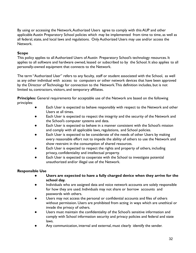By using or accessing the Network,Authorized Users agree to comply with this AUP and other applicable Austin Preparatory School policies which may be implemented from time to time, as well as all federal, state, and local laws and regulations. Only Authorized Users may use and/or access the Network.

## **Scope**

This policy applies to all Authorized Users of Austin Preparatory School's technology resources. It applies to all software and hardware owned, leased or subscribed to by the School. It also applies to all personally-owned equipment that connects to the Network.

The term "Authorized User" refers to any faculty, staff or student associated with the School, as well as any other individual with access to computers or other network devices that have been approved by the Director of Technology for connection to the Network.This definition includes, but is not limited to, contractors, visitors, and temporary affiliates.

**Principles:** General requirements for acceptable use of the Network are based on the following principles:

- Each User is expected to behave responsibly with respect to the Network and other Users at all times.
- Each User is expected to respect the integrity and the security of the Network and the School's computer systems and data.
- Each User is expected to behave in a manner consistent with the School's mission and comply with all applicable laws, regulations, and School policies.
- Each User is expected to be considerate of the needs of other Users by making every reasonable effort not to impede the ability of others to use the Network and show restraint in the consumption of shared resources.
- Each User is expected to respect the rights and property of others, including privacy, confidentiality and intellectual property.
- Each User is expected to cooperate with the School to investigate potential unauthorized and/or illegal use of the Network.

## **Responsible Use**

- **● Users are expected to have a fully charged device when they arrive for the school day.**
- Individuals who are assigned data and voice network accounts are solely responsible for how they are used. Individuals may not share or borrow accounts and passwords with others.
- Users may not access the personal or confidential accounts and files of others without permission. Users are prohibited from acting in ways which are unethical or invade the privacy of others.
- Users must maintain the confidentiality of the School's sensitive information and comply with School information security and privacy policies and federal and state laws.
- Any communication, internal and external, must clearly identify the sender.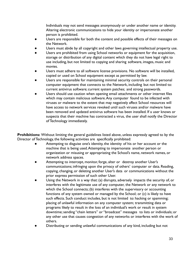Individuals may not send messages anonymously or under another name or identity. Altering electronic communications to hide your identity or impersonate another person is prohibited.

- Users are responsible for both the content and possible effects of their messages on the Network.
- Users must abide by all copyright and other laws governing intellectual property use.
- Users are prohibited from using School networks or equipment for the acquisition, storage or distribution of any digital content which they do not have legal right to use including, but not limited to copying and sharing software, images, music and movies.
- Users must adhere to all software license provisions. No software will be installed, copied or used on School equipment except as permitted by law.
- Users are responsible for maintaining minimal security controls on their personal computer equipment that connects to the Network, including but not limited to: current antivirus software; current system patches; and strong passwords.
- Users should use caution when opening email attachments or other internet files which may contain malicious software.Any computer found to be infected with viruses or malware to the extent that may negatively affect School resources will have access to network services revoked until such viruses and/or malware have been removed and updated antivirus software has been installed. If a user knows or suspects that their machine has contracted a virus, the user shall notify the Director of Technology immediately.

**Prohibitions:** Without limiting the general guidelines listed above, unless expressly agreed to by the Director of Technology, the following activities are specifically prohibited:

- Attempting to disguise one's identity, the identity of his or her account or the machine that is being used.Attempting to impersonate another person or organization or misusing or appropriating the School's name, network names, or network address spaces.
- Attempting to intercept, monitor, forge, alter or destroy another User's communications; infringing upon the privacy of others' computer or data. Reading, copying, changing, or deleting another User's data or communications without the prior express permission of such other User.
- Using the Network in a way that: (a) disrupts, adversely impacts the security of, or interferes with the legitimate use of any computer, the Network or any network to which the School connects; (b) interferes with the supervisory or accounting functions of any system owned or managed by the School; or (c) is likely to have such effects. Such conduct includes, but is not limited to: hacking or spamming; placing of unlawful information on any computer system; transmitting data or programs likely to result in the loss of an individual's work or result in system downtime; sending "chain letters" or "broadcast" messages to lists or individuals; or any other use that causes congestion of any networks or interferes with the work of others.
- Distributing or sending unlawful communications of any kind, including but not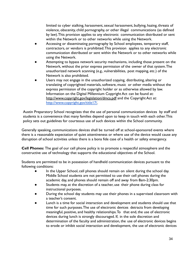limited to cyber stalking, harassment, sexual harassment, bullying, hazing, threats of violence, obscenity, child pornography, or other illegal communications (as defined by law).This provision applies to any electronic communication distributed or sent within the Network or to other networks while using the Network.

- Accessing or disseminating pornography by School employees, temporary staff, contractors, or vendors is prohibited.This provision applies to any electronic communication distributed or sent within the Network or to other networks while using the Network.
- Attempting to bypass network security mechanisms, including those present on the Network, without the prior express permission of the owner of that system.The unauthorized network scanning (e.g., vulnerabilities, post mapping, etc.) of the Network is also prohibited.
- Users may not engage in the unauthorized copying, distributing, altering or translating of copyrighted materials, software, music or other media without the express permission of the copyright holder or as otherwise allowed by law. Information on the Digital Millennium Copyright Act can be found at: <http://www.copyright.gov/legislation/dmca.pdf> and the Copyright Act at: [http://www.copyright.gov/title17/.](http://www.copyright.gov/title17/)

Austin Preparatory School recognizes that the use of personal communication devices by staff and students is a convenience that many families depend upon to keep in touch with each other.This policy sets out guidelines for courteous use of such devices within the School community.

Generally speaking, communications devices shall be turned off at school-sponsored events where there is a reasonable expectation of quiet attentiveness or where use of the device would cause any disruption of school activities unless there is a bona fide case of a health or safety emergency.

**Cell Phones:** The goal of our cell phone policy is to promote a respectful atmosphere and the constructive use of technology that supports the educational objectives of the School.

Students are permitted to be in possession of handheld communication devices pursuant to the following conditions:

- In the Upper School, cell phones should remain on silent during the school day. Middle School students are not permitted to use their cell phones during the academic day, and phones should remain off and away from 8am-2:30pm.
- Students may, at the discretion of a teacher, use their phone during class for instructional purposes.
- During the school day students may use their phones in a supervised classroom with a teacher's consent.
- Lunch is a time for social interaction and development and students should use that time for such purposes.The use of electronic devices detracts from developing meaningful, positive, and healthy relationships.To that end, the use of electronic devices during lunch is strongly discouraged. If, in the sole discretion and determination of the faculty and administration, the use of electronic devices begins to erode or inhibit social interaction and development, the use of electronic devices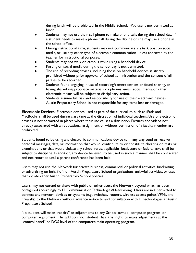during lunch will be prohibited. In the Middle School, I-Pad use is not permitted at lunch.

- Students may not use their cell phone to make phone calls during the school day. If a student needs to make a phone call during the day, he or she may use a phone in the school office.
- During instructional time, students may not communicate via text, post on social media, or use any other type of electronic communication unless approved by the teacher for instructional purposes.
- Students may not walk on campus while using a handheld device.
- Posting on social media during the school day is not permitted.
- The use of recording devices, including those on handheld devices, is strictly prohibited without prior approval of school administration and the consent of all parties to be recorded.
- Students found engaging in use of recording/camera devices or found sharing, or having shared inappropriate materials via phones, email, social media, or other electronic means will be subject to disciplinary action.
- Students assume full risk and responsibility for use of their electronic devices. Austin Preparatory School is not responsible for any items lost or damaged.

**Electronic Devices:** Electronic devices used as part of the curriculum, such as iPads and MacBooks, shall be used during class time at the discretion of individual teachers. Use of electronic devices is not permitted in places where their use causes a disruption. Pictures and videos not directly associated with an educational assignment or without permission of a faculty member are prohibited.

Students found to be using any electronic communications device to in any way send or receive personal messages, data, or information that would contribute to or constitute cheating on tests or examinations or that would violate any school rules, applicable local, state or federal laws shall be subject to discipline. In addition, any device believed to be used in such a manner shall be confiscated and not returned until a parent conference has been held.

Users may not use the Network for private business, commercial or political activities, fundraising, or advertising on behalf of non-Austin Preparatory School organizations, unlawful activities, or uses that violate other Austin Preparatory School policies.

Users may not extend or share with public or other users the Network beyond what has been configured accordingly by IT Communication Technologies/Networking. Users are not permitted to connect any network devices or systems (e.g., switches, routers, wireless access points,VPNs, and firewalls) to the Network without advance notice to and consultation with IT Technologies at Austin Preparatory School.

No student will make "repairs" or adjustments to any School-owned computer, program or computer equipment. In addition, no student has the right to make adjustments at the "control panel" or DOS level of the computer's main operating program.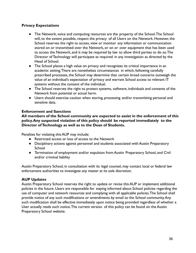## **Privacy Expectations**

- The Network, voice and computing resources are the property of the School.The School will, to the extent possible, respect the privacy of all Users on the Network. However, the School reserves the right to access, view or monitor any information or communication stored on or transmitted over the Network, or on or over equipment that has been used to access the Network, and it may be required by law to allow third parties to do so.The Director of Technology will participate as required in any investigation as directed by the Head of School.
- The School places a high value on privacy and recognizes its critical importance in an academic setting.There are nonetheless circumstances in which, following carefully prescribed processes, the School may determine that certain broad concerns outweigh the value of an individual's expectation of privacy and warrant School access to relevant IT systems without the consent of the individual.
- The School reserves the right to protect systems, software, individuals and contents of the Network from potential or actual harm.
- Users should exercise caution when storing, processing and/or transmitting personal and sensitive data.

## **Enforcement and Sanctions**

**All members of the School community are expected to assist in the enforcement of this policy.Any suspected violation of this policy should be reported immediately to the Director of Technology as well as to the Dean of Students.**

Penalties for violating this AUP may include:

- Restricted access or loss of access to the Network
- Disciplinary actions against personnel and students associated with Austin Preparatory **School**
- Termination of employment and/or expulsion from Austin Preparatory School, and Civil and/or criminal liability

Austin Preparatory School, in consultation with its legal counsel, may contact local or federal law enforcement authorities to investigate any matter at its sole discretion.

## **AUP Updates**

Austin Preparatory School reserves the right to update or revise this AUP or implement additional policies in the future. Users are responsible for staying informed about School policies regarding the use of computer and network resources and complying with all applicable policies.The School shall provide notice of any such modifications or amendments by email to the School community.Any such modification shall be effective immediately upon notice being provided regardless of whether a User actually reads such notice.The current version of this policy can be found on the Austin Preparatory School website.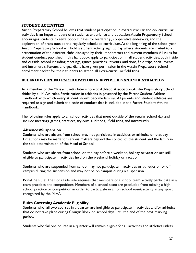#### STUDENT ACTIVITIES

Austin Preparatory School believes that student participation in extracurricular and co- curricular activities is an important part of a student's experience and education.Austin Preparatory School encourages students to seize opportunities for leadership, cooperative endeavors, and the exploration of areas outside the regularly scheduled curriculum.At the beginning of the school year, Austin Preparatory School will hold a student activity sign up day where students are invited to a presentation of the different clubs displayed by their moderators and current members.All rules for student conduct published in this handbook apply to participation in all student activities, both inside and outside school including meetings, games, practices, tryouts, auditions, field trips, social events, and intramurals. Parents and guardians have given permission in the Austin Preparatory School enrollment packet for their students to attend all extra-curricular field trips.

## RULES GOVERNING PARTICIPATION IN ACTIVITIES AND/OR ATHLETICS

As a member of the Massachusetts Interscholastic Athletic Association,Austin Preparatory School abides by all MIAA rules. Participation in athletics is governed by the Parent-Student-Athlete Handbook with which every student should become familiar. All parents and student athletes are required to sign and submit the code of conduct that is included in the Parent-Student-Athlete Handbook.

The following rules apply to all school activities that meet outside of the regular school day and include meetings, games, practices, try-outs, auditions, field trips, and intramurals.

## **Absences/Suspension**

Students who are absent from school may not participate in activities or athletics on that day. Exceptions may be made for serious matters beyond the control of the student and the family in the sole determination of the Head of School.

Students who are absent from school on the day before a weekend, holiday or vacation are still eligible to participate in activities held on the weekend, holiday or vacation.

Students who are suspended from school may not participate in activities or athletics on or off campus during the suspension and may not be on campus during a suspension.

BonaFide Rule: The Bona Fide rule requires that members of a school team actively participate in all team practices and competitions. Members of a school team are precluded from missing a high school practice or competition in order to participate in a non school event/activity in any sport recognized by the MIAA.

## **Rules Governing Academic Eligibility**

Students who fail two courses in a quarter are ineligible to participate in activities and/or athletics that do not take place during Cougar Block on school days until the end of the next marking period.

Students who fail one course in a quarter will remain eligible for all activities and athletics unless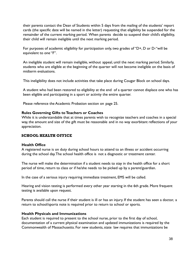their parents contact the Dean of Students within 5 days from the mailing of the students' report cards (the specific date will be named in the letter) requesting that eligibility be suspended for the remainder of the current marking period. When parents decide to suspend their child's eligibility, their child will remain ineligible until the next marking period.

For purposes of academic eligibility for participation only, two grades of "D+, D or D-"will be equivalent to one "F".

An ineligible student will remain ineligible, without appeal, until the next marking period. Similarly, students who are eligible at the beginning of the quarter will not become ineligible on the basis of midterm evaluations.

This ineligibility does not include activities that take place during Cougar Block on school days.

A student who had been restored to eligibility at the end of a quarter cannot displace one who has been eligible and participating in a sport or activity the entire quarter.

Please reference the Academic Probation section on page 25.

#### **Rules Governing Gifts to Teachers or Coaches**

While it is understandable that at times parents wish to recognize teachers and coaches in a special way, the amount and size of the gift must be reasonable and in no way exorbitant reflections of your appreciation.

## SCHOOL HEALTH OFFICE

#### **Health Office**

A registered nurse is on duty during school hours to attend to an illness or accident occurring during the school day.The school health office is not a diagnostic or treatment center.

The nurse will make the determination if a student needs to stay in the health office for a short period of time, return to class or if he/she needs to be picked up by a parent/guardian.

In the case of a serious injury requiring immediate treatment, EMS will be called.

Hearing and vision testing is performed every other year starting in the 6th grade. More frequent testing is available upon request.

Parents should call the nurse if their student is ill or has an injury. If the student has seen a doctor, a return to school/sports note is required prior to return to school or sports.

#### **Health Physicals and Immunizations**

Each student is required to present to the school nurse, prior to the first day of school, documentation of a current physical examination and updated immunizations is required by the Commonwealth of Massachusetts. For new students, state law requires that immunizations be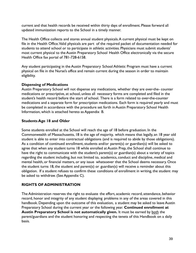current and that health records be received within thirty days of enrollment. Please forward all updated immunization reports to the School in a timely manner.

The Health Office collects and stores annual student physicals.A current physical must be kept on file in the Health Office.Valid physicals are part of the required packet of documentation needed for students to attend school or to participate in athletic activities. Physicians must submit students' most current physical to the Austin Preparatory School Health Office electronically via the secure Health Office fax portal of 781-728-6158.

Any student participating in the Austin Preparatory School Athletic Program must have a current physical on file in the Nurse's office and remain current during the season in order to maintain eligibility.

## **Dispensing of Medications**

Austin Preparatory School will not dispense any medications, whether they are over-the- counter medications or prescriptive, at school, unless all necessary forms are completed and filed in the student's health record before the start of school. There is a form related to over-the-counter medications and a separate form for prescription medications. Each form is required yearly and must be completed in accordance with the procedure set forth in Austin Preparatory School Health Information, which is attached hereto as Appendix B.

## **Students Age 18 and Older**

Some students enrolled at the School will reach the age of 18 before graduation. In the Commonwealth of Massachusetts, 18 is the age of majority, which means that legally, an 18 year old student is able to enter into contractual obligations (and is required to abide by those obligations). As a condition of continued enrollment, students and/or parent(s) or guardian(s) will be asked to agree that when any student turns 18 while enrolled at Austin Prep, the School shall continue to have the right to communicate with the student's parent(s) or guardian(s) about a variety of topics regarding the student including, but not limited to, academics, conduct and discipline, medical and mental health, or financial matters, or any issue whatsoever that the School deems necessary. Once the student turns 18, the student and parent(s) or guardian(s) will receive a reminder about this obligation. If a student refuses to confirm these conditions of enrollment in writing, the student may be asked to withdraw. (See Appendix C).

## **RIGHTS OF ADMINISTRATION**

The Administration reserves the right to evaluate the effort, academic record, attendance, behavior record, honor and integrity of any student displaying problems in any of the areas covered in this handbook. Depending upon the outcome of this evaluation, a student may be asked to leave Austin Preparatory School during the current year or the following year. **Continued enrollment at Austin Preparatory School is not automatically given.** It must be earned by both the parent/guardians and the student honoring and respecting the tenets of this Handbook on a daily basis.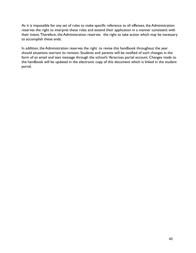As it is impossible for any set of rules to make specific reference to all offenses, the Administration reserves the right to interpret these rules and extend their application in a manner consistent with their intent.Therefore, the Administration reserves the right to take action which may be necessary to accomplish these ends.

In addition, the Administration reserves the right to revise this handbook throughout the year should situations warrant its revision. Students and parents will be notified of such changes in the form of an email and text message through the school's Veracross portal account. Changes made to the handbook will be updated in the electronic copy of this document which is linked in the student portal.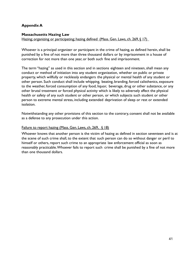## **Appendix A**

#### **Massachusetts Hazing Law**

Hazing; organizing or participating; hazing defined (Mass. Gen. Laws, ch. 269, § 17)

Whoever is a principal organizer or participant in the crime of hazing, as defined herein, shall be punished by a fine of not more than three thousand dollars or by imprisonment in a house of correction for not more than one year, or both such fine and imprisonment.

The term "hazing" as used in this section and in sections eighteen and nineteen, shall mean any conduct or method of initiation into any student organization, whether on public or private property, which willfully or recklessly endangers the physical or mental health of any student or other person. Such conduct shall include whipping, beating, branding, forced calisthenics, exposure to the weather, forced consumption of any food, liquor, beverage, drug or other substance, or any other brutal treatment or forced physical activity which is likely to adversely affect the physical health or safety of any such student or other person, or which subjects such student or other person to extreme mental stress, including extended deprivation of sleep or rest or extended isolation.

Notwithstanding any other provisions of this section to the contrary, consent shall not be available as a defense to any prosecution under this action.

#### Failure to report hazing (Mass. Gen. Laws, ch. 269, § 18)

Whoever knows that another person is the victim of hazing as defined in section seventeen and is at the scene of such crime shall, to the extent that such person can do so without danger or peril to himself or others, report such crime to an appropriate law enforcement official as soon as reasonably practicable.Whoever fails to report such crime shall be punished by a fine of not more than one thousand dollars.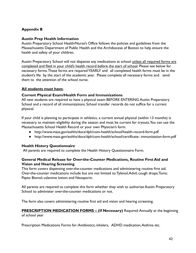## **Appendix B**

#### **Austin Prep Health Information**

Austin Preparatory School Health/Nurse's Office follows the policies and guidelines from the Massachusetts Department of Public Health and the Archdiocese of Boston to help ensure the health and safety of your children.

Austin Preparatory School will not dispense any medications at school unless all required forms are completed and filed in your child's health record before the start of school. Please see below for necessary forms.These forms are required YEARLY and all completed health forms must be in the student's file by the start of the academic year. Please complete all necessary forms and send them to the attention of the school nurse.

## **All students must have:**

#### **Current Physical Exam/Health Form and Immunizations**

All new students are required to have a physical exam BEFORE ENTERING Austin Preparatory School and a record of all immunizations. School transfer records do not suffice for a current physical.

If your child is planning to participate in athletics, a current annual physical (within 13 months) is necessary to maintain eligibility during the season and must be current for tryouts.You can use the Massachusetts School Health Record or your own Physician's form.

- <http://www.mass.gov/eohhs/docs/dph/com-health/school/health-record-form.pdf>
- <http://www.mass.gov/eohhs/docs/dph/com-health/school/certificate-> immunization-form.pdf

## **Health History Questionnaire**

All parents are required to complete the Health History Questionnaire Form.

## **General Medical Release for Over-the-Counter Medications, Routine First Aid and Vision and Hearing Screening**

This form covers dispensing over-the-counter medications and administering routine first aid. Over-the-counter medications include but are not limited to:Tylenol;Advil; cough drops;Tums; Pepto Bismol; calamine lotion; and Neosporin.

All parents are required to complete this form whether they wish to authorize Austin Preparatory School to administer over-the-counter medications or not.

The form also covers administering routine first aid and vision and hearing screening.

## **PRESCRIPTION MEDICATION FORMS – (If Necessary)** Required Annually at the beginning of school year

Prescription Medications Forms for:Antibiotics, inhalers, ADHD medication,Asthma etc.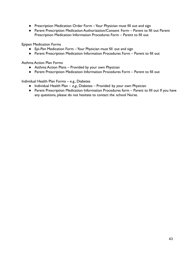- Prescription Medication Order Form Your Physician must fill out and sign
- Parent Prescription Medication Authorization/Consent Form Parent to fill out Parent Prescription Medication Information Procedures Form – Parent to fill out

Epipen Medication Forms

- Epi-Pen Medication Form Your Physician must fill out and sign
- Parent Prescription Medication Information Procedures Form Parent to fill out

Asthma Action Plan Forms

- Asthma Action Plans Provided by your own Physician
- Parent Prescription Medication Information Procedures Form Parent to fill out

Individual Health Plan Forms – e.g., Diabetes

- Individual Health Plan e.g., Diabetes Provided by your own Physician
- Parent Prescription Medication Information Procedures form Parent to fill out If you have any questions, please do not hesitate to contact the school Nurse.